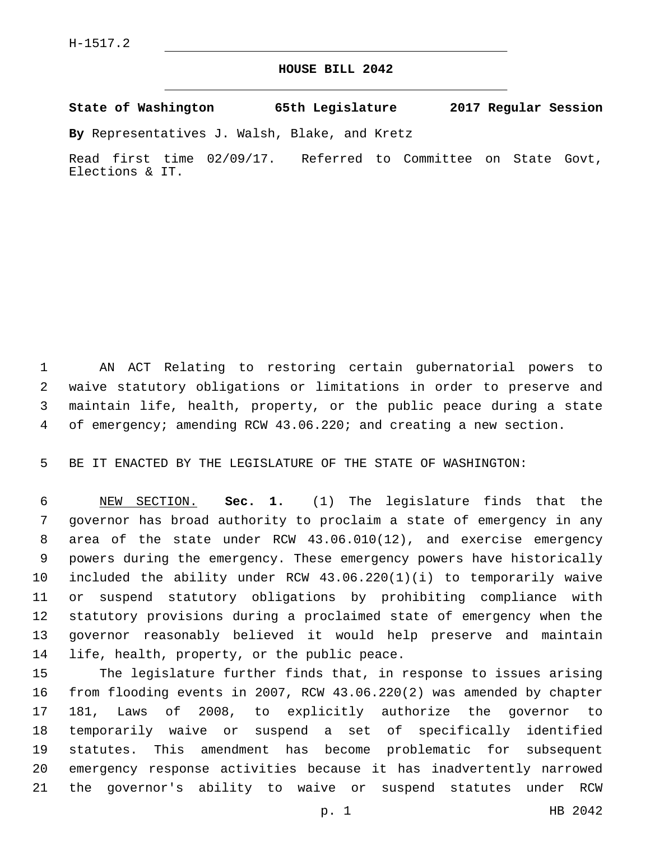## **HOUSE BILL 2042**

**State of Washington 65th Legislature 2017 Regular Session**

**By** Representatives J. Walsh, Blake, and Kretz

Read first time 02/09/17. Referred to Committee on State Govt, Elections & IT.

 AN ACT Relating to restoring certain gubernatorial powers to waive statutory obligations or limitations in order to preserve and maintain life, health, property, or the public peace during a state of emergency; amending RCW 43.06.220; and creating a new section.

BE IT ENACTED BY THE LEGISLATURE OF THE STATE OF WASHINGTON:

 NEW SECTION. **Sec. 1.** (1) The legislature finds that the governor has broad authority to proclaim a state of emergency in any area of the state under RCW 43.06.010(12), and exercise emergency powers during the emergency. These emergency powers have historically included the ability under RCW 43.06.220(1)(i) to temporarily waive or suspend statutory obligations by prohibiting compliance with statutory provisions during a proclaimed state of emergency when the governor reasonably believed it would help preserve and maintain 14 life, health, property, or the public peace.

 The legislature further finds that, in response to issues arising from flooding events in 2007, RCW 43.06.220(2) was amended by chapter 181, Laws of 2008, to explicitly authorize the governor to temporarily waive or suspend a set of specifically identified statutes. This amendment has become problematic for subsequent emergency response activities because it has inadvertently narrowed the governor's ability to waive or suspend statutes under RCW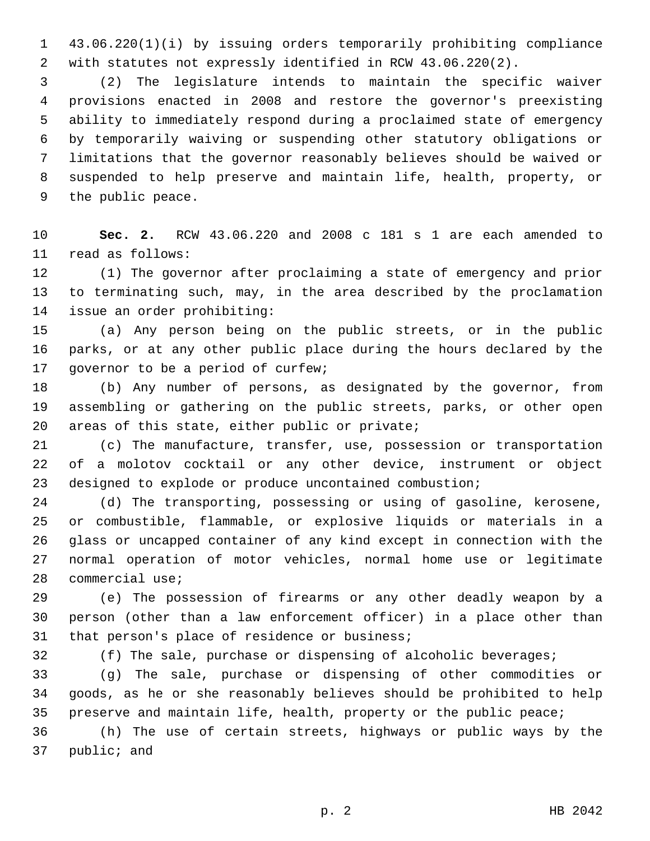43.06.220(1)(i) by issuing orders temporarily prohibiting compliance with statutes not expressly identified in RCW 43.06.220(2).

 (2) The legislature intends to maintain the specific waiver provisions enacted in 2008 and restore the governor's preexisting ability to immediately respond during a proclaimed state of emergency by temporarily waiving or suspending other statutory obligations or limitations that the governor reasonably believes should be waived or suspended to help preserve and maintain life, health, property, or 9 the public peace.

 **Sec. 2.** RCW 43.06.220 and 2008 c 181 s 1 are each amended to 11 read as follows:

 (1) The governor after proclaiming a state of emergency and prior to terminating such, may, in the area described by the proclamation 14 issue an order prohibiting:

 (a) Any person being on the public streets, or in the public parks, or at any other public place during the hours declared by the 17 governor to be a period of curfew;

 (b) Any number of persons, as designated by the governor, from assembling or gathering on the public streets, parks, or other open areas of this state, either public or private;

 (c) The manufacture, transfer, use, possession or transportation of a molotov cocktail or any other device, instrument or object designed to explode or produce uncontained combustion;

 (d) The transporting, possessing or using of gasoline, kerosene, or combustible, flammable, or explosive liquids or materials in a glass or uncapped container of any kind except in connection with the normal operation of motor vehicles, normal home use or legitimate 28 commercial use;

 (e) The possession of firearms or any other deadly weapon by a person (other than a law enforcement officer) in a place other than 31 that person's place of residence or business;

(f) The sale, purchase or dispensing of alcoholic beverages;

 (g) The sale, purchase or dispensing of other commodities or goods, as he or she reasonably believes should be prohibited to help 35 preserve and maintain life, health, property or the public peace;

 (h) The use of certain streets, highways or public ways by the 37 public; and